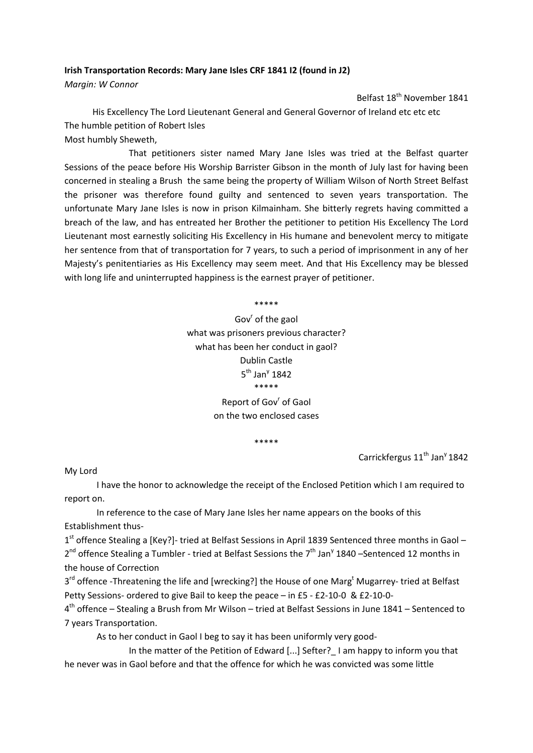## **Irish Transportation Records: Mary Jane Isles CRF 1841 I2 (found in J2)**

*Margin: W Connor*

Belfast 18<sup>th</sup> November 1841

His Excellency The Lord Lieutenant General and General Governor of Ireland etc etc etc The humble petition of Robert Isles

Most humbly Sheweth,

 That petitioners sister named Mary Jane Isles was tried at the Belfast quarter Sessions of the peace before His Worship Barrister Gibson in the month of July last for having been concerned in stealing a Brush the same being the property of William Wilson of North Street Belfast the prisoner was therefore found guilty and sentenced to seven years transportation. The unfortunate Mary Jane Isles is now in prison Kilmainham. She bitterly regrets having committed a breach of the law, and has entreated her Brother the petitioner to petition His Excellency The Lord Lieutenant most earnestly soliciting His Excellency in His humane and benevolent mercy to mitigate her sentence from that of transportation for 7 years, to such a period of imprisonment in any of her Majesty's penitentiaries as His Excellency may seem meet. And that His Excellency may be blessed with long life and uninterrupted happiness is the earnest prayer of petitioner.

> \*\*\*\*\* Gov<sup>r</sup> of the gaol what was prisoners previous character? what has been her conduct in gaol? Dublin Castle  $5^{\text{th}}$  Jan<sup>y</sup> 1842 \*\*\*\*\*

Report of Gov' of Gaol on the two enclosed cases

\*\*\*\*\*

Carrickfergus 11<sup>th</sup> Jan<sup>y</sup> 1842

My Lord

I have the honor to acknowledge the receipt of the Enclosed Petition which I am required to report on.

In reference to the case of Mary Jane Isles her name appears on the books of this Establishment thus‐

1<sup>st</sup> offence Stealing a [Key?]- tried at Belfast Sessions in April 1839 Sentenced three months in Gaol –  $2^{nd}$  offence Stealing a Tumbler - tried at Belfast Sessions the  $7^{th}$  Jan<sup>y</sup> 1840 –Sentenced 12 months in the house of Correction

3<sup>rd</sup> offence -Threatening the life and [wrecking?] the House of one Marg<sup>t</sup> Mugarrey- tried at Belfast Petty Sessions‐ ordered to give Bail to keep the peace – in £5 ‐ £2‐10‐0 & £2‐10‐0‐

 $4<sup>th</sup>$  offence – Stealing a Brush from Mr Wilson – tried at Belfast Sessions in June 1841 – Sentenced to 7 years Transportation.

As to her conduct in Gaol I beg to say it has been uniformly very good‐

In the matter of the Petition of Edward [...] Sefter? I am happy to inform you that he never was in Gaol before and that the offence for which he was convicted was some little